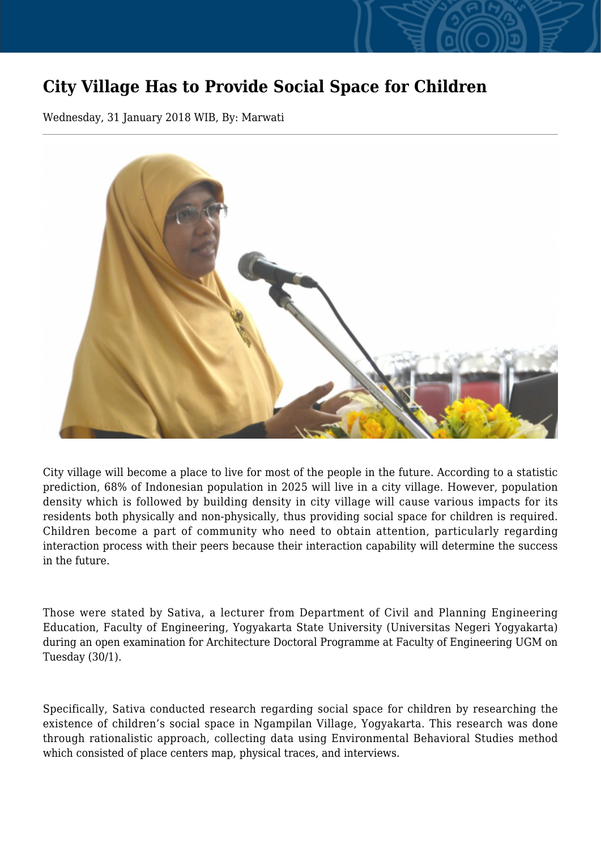## **City Village Has to Provide Social Space for Children**

Wednesday, 31 January 2018 WIB, By: Marwati



City village will become a place to live for most of the people in the future. According to a statistic prediction, 68% of Indonesian population in 2025 will live in a city village. However, population density which is followed by building density in city village will cause various impacts for its residents both physically and non-physically, thus providing social space for children is required. Children become a part of community who need to obtain attention, particularly regarding interaction process with their peers because their interaction capability will determine the success in the future.

Those were stated by Sativa, a lecturer from Department of Civil and Planning Engineering Education, Faculty of Engineering, Yogyakarta State University (Universitas Negeri Yogyakarta) during an open examination for Architecture Doctoral Programme at Faculty of Engineering UGM on Tuesday (30/1).

Specifically, Sativa conducted research regarding social space for children by researching the existence of children's social space in Ngampilan Village, Yogyakarta. This research was done through rationalistic approach, collecting data using Environmental Behavioral Studies method which consisted of place centers map, physical traces, and interviews.